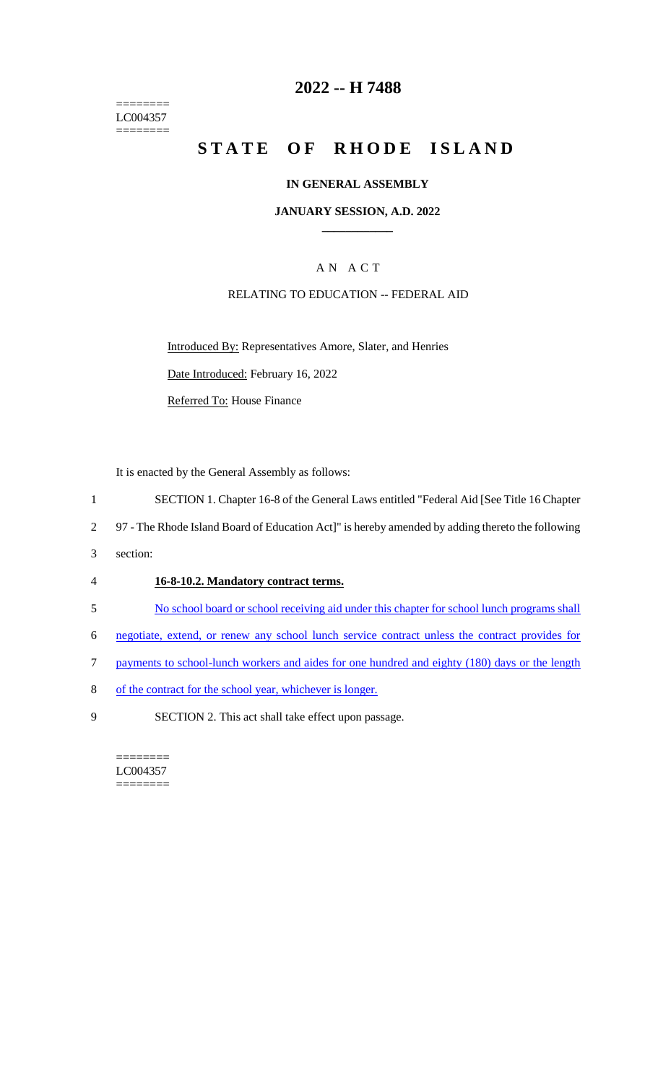======== LC004357  $=$ 

## **2022 -- H 7488**

# **STATE OF RHODE ISLAND**

#### **IN GENERAL ASSEMBLY**

#### **JANUARY SESSION, A.D. 2022 \_\_\_\_\_\_\_\_\_\_\_\_**

## A N A C T

#### RELATING TO EDUCATION -- FEDERAL AID

Introduced By: Representatives Amore, Slater, and Henries Date Introduced: February 16, 2022

Referred To: House Finance

It is enacted by the General Assembly as follows:

- 1 SECTION 1. Chapter 16-8 of the General Laws entitled "Federal Aid [See Title 16 Chapter
- 2 97 The Rhode Island Board of Education Act]" is hereby amended by adding thereto the following
- 3 section:

#### 4 **16-8-10.2. Mandatory contract terms.**

- 5 No school board or school receiving aid under this chapter for school lunch programs shall
- 6 negotiate, extend, or renew any school lunch service contract unless the contract provides for
- 7 payments to school-lunch workers and aides for one hundred and eighty (180) days or the length
- 8 of the contract for the school year, whichever is longer.
- 9 SECTION 2. This act shall take effect upon passage.

======== LC004357 ========